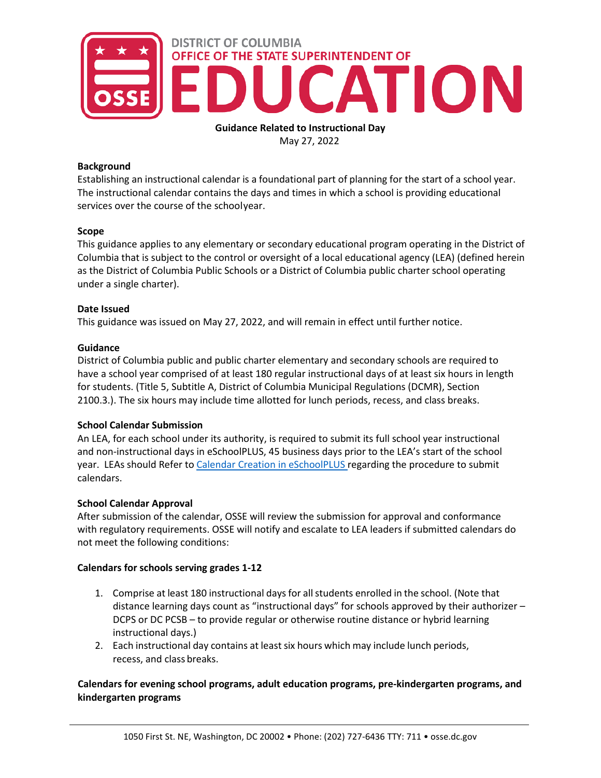

**Guidance Related to Instructional Day** May 27, 2022

#### **Background**

Establishing an instructional calendar is a foundational part of planning for the start of a school year. The instructional calendar contains the days and times in which a school is providing educational services over the course of the schoolyear.

#### **Scope**

This guidance applies to any elementary or secondary educational program operating in the District of Columbia that is subject to the control or oversight of a local educational agency (LEA) (defined herein as the District of Columbia Public Schools or a District of Columbia public charter school operating under a single charter).

# **Date Issued**

This guidance was issued on May 27, 2022, and will remain in effect until further notice.

# **Guidance**

District of Columbia public and public charter elementary and secondary schools are required to have a school year comprised of at least 180 regular instructional days of at least six hours in length for students. (Title 5, Subtitle A, District of Columbia Municipal Regulations (DCMR), Section 2100.3.). The six hours may include time allotted for lunch periods, recess, and class breaks.

# **School Calendar Submission**

An LEA, for each school under its authority, is required to submit its full school year instructional and non-instructional days in eSchoolPLUS, 45 business days prior to the LEA's start of the school year. LEAs should Refer to Calendar Creation in eSchoolPLUS regarding the procedure to submit calendars.

# **School Calendar Approval**

After submission of the calendar, OSSE will review the submission for approval and conformance with regulatory requirements. OSSE will notify and escalate to LEA leaders if submitted calendars do not meet the following conditions:

# **Calendars for schools serving grades 1-12**

- 1. Comprise at least 180 instructional days for all students enrolled in the school. (Note that distance learning days count as "instructional days" for schools approved by their authorizer – DCPS or DC PCSB – to provide regular or otherwise routine distance or hybrid learning instructional days.)
- 2. Each instructional day contains at least six hours which may include lunch periods, recess, and class breaks.

# **Calendars for evening school programs, adult education programs, pre-kindergarten programs, and kindergarten programs**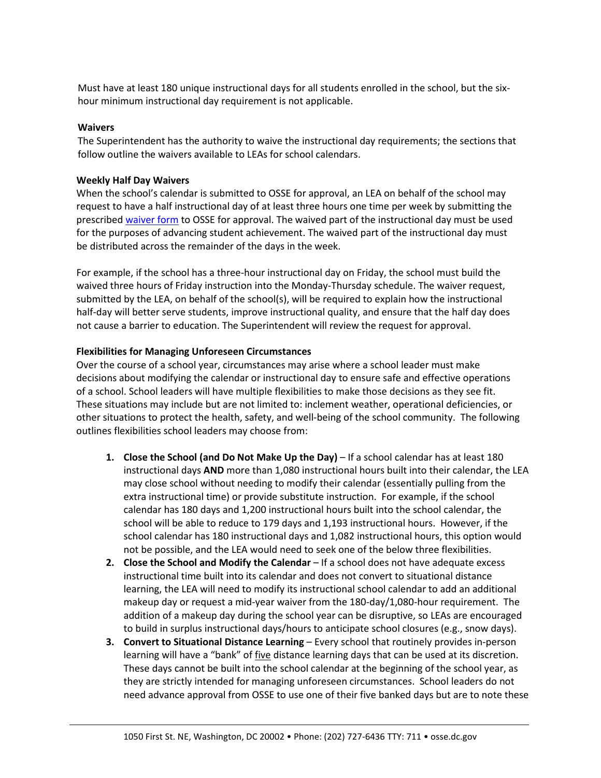Must have at least 180 unique instructional days for all students enrolled in the school, but the sixhour minimum instructional day requirement is not applicable.

#### **Waivers**

The Superintendent has the authority to waive the instructional day requirements; the sections that follow outline the waivers available to LEAs for school calendars.

# **Weekly Half Day Waivers**

When the school's calendar is submitted to OSSE for approval, an LEA on behalf of the school may request to have a half instructional day of at least three hours one time per week by submitting the prescribed [waiver form](https://osse.dc.gov/sites/default/files/dc/sites/osse/page_content/attachments/Instructional%20Day%20Waiver%20Form_May2022.pdf) to OSSE for approval. The waived part of the instructional day must be used for the purposes of advancing student achievement. The waived part of the instructional day must be distributed across the remainder of the days in the week.

For example, if the school has a three-hour instructional day on Friday, the school must build the waived three hours of Friday instruction into the Monday-Thursday schedule. The waiver request, submitted by the LEA, on behalf of the school(s), will be required to explain how the instructional half-day will better serve students, improve instructional quality, and ensure that the half day does not cause a barrier to education. The Superintendent will review the request for approval.

#### **Flexibilities for Managing Unforeseen Circumstances**

Over the course of a school year, circumstances may arise where a school leader must make decisions about modifying the calendar or instructional day to ensure safe and effective operations of a school. School leaders will have multiple flexibilities to make those decisions as they see fit. These situations may include but are not limited to: inclement weather, operational deficiencies, or other situations to protect the health, safety, and well-being of the school community. The following outlines flexibilities school leaders may choose from:

- **1. Close the School (and Do Not Make Up the Day)** If a school calendar has at least 180 instructional days **AND** more than 1,080 instructional hours built into their calendar, the LEA may close school without needing to modify their calendar (essentially pulling from the extra instructional time) or provide substitute instruction. For example, if the school calendar has 180 days and 1,200 instructional hours built into the school calendar, the school will be able to reduce to 179 days and 1,193 instructional hours. However, if the school calendar has 180 instructional days and 1,082 instructional hours, this option would not be possible, and the LEA would need to seek one of the below three flexibilities.
- **2. Close the School and Modify the Calendar**  If a school does not have adequate excess instructional time built into its calendar and does not convert to situational distance learning, the LEA will need to modify its instructional school calendar to add an additional makeup day or request a mid-year waiver from the 180-day/1,080-hour requirement. The addition of a makeup day during the school year can be disruptive, so LEAs are encouraged to build in surplus instructional days/hours to anticipate school closures (e.g., snow days).
- **3. Convert to Situational Distance Learning Every school that routinely provides in-person** learning will have a "bank" of five distance learning days that can be used at its discretion. These days cannot be built into the school calendar at the beginning of the school year, as they are strictly intended for managing unforeseen circumstances. School leaders do not need advance approval from OSSE to use one of their five banked days but are to note these